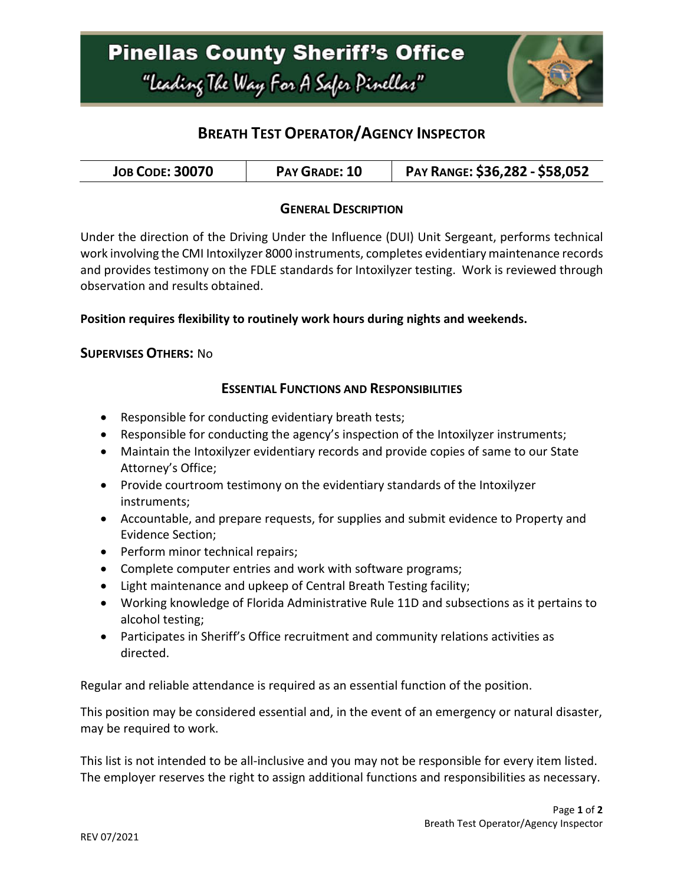

# **BREATH TEST OPERATOR/AGENCY INSPECTOR**

| <b>JOB CODE: 30070</b> | PAY GRADE: 10 | PAY RANGE: \$36,282 - \$58,052 |
|------------------------|---------------|--------------------------------|
|------------------------|---------------|--------------------------------|

#### **GENERAL DESCRIPTION**

Under the direction of the Driving Under the Influence (DUI) Unit Sergeant, performs technical work involving the CMI Intoxilyzer 8000 instruments, completes evidentiary maintenance records and provides testimony on the FDLE standards for Intoxilyzer testing. Work is reviewed through observation and results obtained.

#### **Position requires flexibility to routinely work hours during nights and weekends.**

#### **SUPERVISES OTHERS:** No

#### **ESSENTIAL FUNCTIONS AND RESPONSIBILITIES**

- Responsible for conducting evidentiary breath tests;
- Responsible for conducting the agency's inspection of the Intoxilyzer instruments;
- Maintain the Intoxilyzer evidentiary records and provide copies of same to our State Attorney's Office;
- Provide courtroom testimony on the evidentiary standards of the Intoxilyzer instruments;
- Accountable, and prepare requests, for supplies and submit evidence to Property and Evidence Section;
- Perform minor technical repairs;
- Complete computer entries and work with software programs;
- Light maintenance and upkeep of Central Breath Testing facility;
- Working knowledge of Florida Administrative Rule 11D and subsections as it pertains to alcohol testing;
- Participates in Sheriff's Office recruitment and community relations activities as directed.

Regular and reliable attendance is required as an essential function of the position.

This position may be considered essential and, in the event of an emergency or natural disaster, may be required to work.

This list is not intended to be all-inclusive and you may not be responsible for every item listed. The employer reserves the right to assign additional functions and responsibilities as necessary.